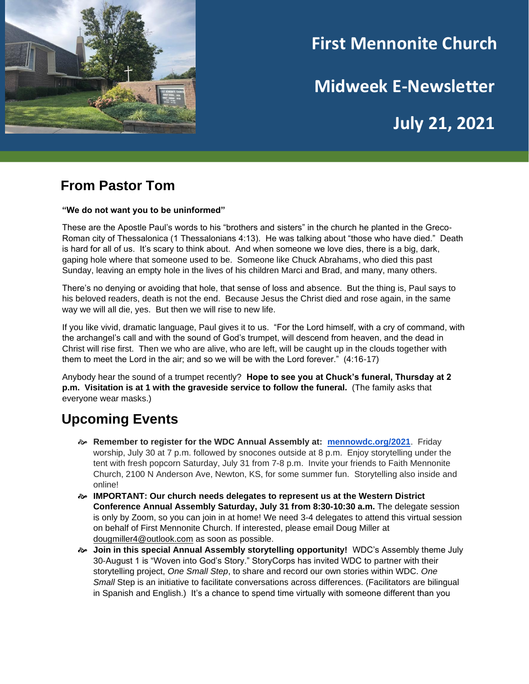

# **First Mennonite Church**

**Midweek E-Newsletter**

**July 21, 2021**

#### **From Pastor Tom**

#### **"We do not want you to be uninformed"**

These are the Apostle Paul's words to his "brothers and sisters" in the church he planted in the Greco-Roman city of Thessalonica (1 Thessalonians 4:13). He was talking about "those who have died." Death is hard for all of us. It's scary to think about. And when someone we love dies, there is a big, dark, gaping hole where that someone used to be. Someone like Chuck Abrahams, who died this past Sunday, leaving an empty hole in the lives of his children Marci and Brad, and many, many others.

There's no denying or avoiding that hole, that sense of loss and absence. But the thing is, Paul says to his beloved readers, death is not the end. Because Jesus the Christ died and rose again, in the same way we will all die, yes. But then we will rise to new life.

If you like vivid, dramatic language, Paul gives it to us. "For the Lord himself, with a cry of command, with the archangel's call and with the sound of God's trumpet, will descend from heaven, and the dead in Christ will rise first. Then we who are alive, who are left, will be caught up in the clouds together with them to meet the Lord in the air; and so we will be with the Lord forever." (4:16-17)

Anybody hear the sound of a trumpet recently? **Hope to see you at Chuck's funeral, Thursday at 2 p.m. Visitation is at 1 with the graveside service to follow the funeral.** (The family asks that everyone wear masks.)

## **Upcoming Events**

- **Remember to register for the WDC Annual Assembly at: [mennowdc.org/2021](http://mennowdc.org/2021)**. Friday worship, July 30 at 7 p.m. followed by snocones outside at 8 p.m. Enjoy storytelling under the tent with fresh popcorn Saturday, July 31 from 7-8 p.m. Invite your friends to Faith Mennonite Church, 2100 N Anderson Ave, Newton, KS, for some summer fun. Storytelling also inside and online!
- **IMPORTANT: Our church needs delegates to represent us at the Western District Conference Annual Assembly Saturday, July 31 from 8:30-10:30 a.m.** The delegate session is only by Zoom, so you can join in at home! We need 3-4 delegates to attend this virtual session on behalf of First Mennonite Church. If interested, please email Doug Miller at dougmiller4@outlook.com as soon as possible.
- **Join in this special Annual Assembly storytelling opportunity!** WDC's Assembly theme July 30-August 1 is "Woven into God's Story." StoryCorps has invited WDC to partner with their storytelling project, *One Small Step*, to share and record our own stories within WDC. *One Small* Step is an initiative to facilitate conversations across differences. (Facilitators are bilingual in Spanish and English.) It's a chance to spend time virtually with someone different than you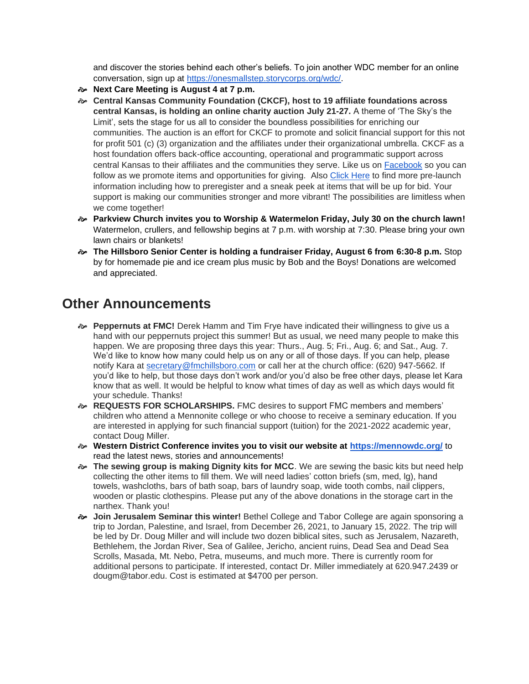and discover the stories behind each other's beliefs. To join another WDC member for an online conversation, sign up at [https://onesmallstep.storycorps.org/wdc/.](https://onesmallstep.storycorps.org/wdc/)

- **Next Care Meeting is August 4 at 7 p.m.**
- **Central Kansas Community Foundation (CKCF), host to 19 affiliate foundations across central Kansas, is holding an online charity auction July 21-27.** A theme of 'The Sky's the Limit', sets the stage for us all to consider the boundless possibilities for enriching our communities. The auction is an effort for CKCF to promote and solicit financial support for this not for profit 501 (c) (3) organization and the affiliates under their organizational umbrella. CKCF as a host foundation offers back-office accounting, operational and programmatic support across central Kansas to their affiliates and the communities they serve. Like us on [Facebook](https://www.facebook.com/CentralKansasCF) so you can follow as we promote items and opportunities for giving. Also [Click Here](https://centralkansascf.org/events/skysthelimit/) to find more pre-launch information including how to preregister and a sneak peek at items that will be up for bid. Your support is making our communities stronger and more vibrant! The possibilities are limitless when we come together!
- **Parkview Church invites you to Worship & Watermelon Friday, July 30 on the church lawn!**  Watermelon, crullers, and fellowship begins at 7 p.m. with worship at 7:30. Please bring your own lawn chairs or blankets!
- **The Hillsboro Senior Center is holding a fundraiser Friday, August 6 from 6:30-8 p.m.** Stop by for homemade pie and ice cream plus music by Bob and the Boys! Donations are welcomed and appreciated.

### **Other Announcements**

- **Peppernuts at FMC!** Derek Hamm and Tim Frye have indicated their willingness to give us a hand with our peppernuts project this summer! But as usual, we need many people to make this happen. We are proposing three days this year: Thurs., Aug. 5; Fri., Aug. 6; and Sat., Aug. 7. We'd like to know how many could help us on any or all of those days. If you can help, please notify Kara at [secretary@fmchillsboro.com](mailto:secretary@fmchillsboro.com) or call her at the church office: (620) 947-5662. If you'd like to help, but those days don't work and/or you'd also be free other days, please let Kara know that as well. It would be helpful to know what times of day as well as which days would fit your schedule. Thanks!
- **REQUESTS FOR SCHOLARSHIPS.** FMC desires to support FMC members and members' children who attend a Mennonite college or who choose to receive a seminary education. If you are interested in applying for such financial support (tuition) for the 2021-2022 academic year, contact Doug Miller.
- **Western District Conference invites you to visit our website at <https://mennowdc.org/>** to read the latest news, stories and announcements!
- **The sewing group is making Dignity kits for MCC**. We are sewing the basic kits but need help collecting the other items to fill them. We will need ladies' cotton briefs (sm, med, lg), hand towels, washcloths, bars of bath soap, bars of laundry soap, wide tooth combs, nail clippers, wooden or plastic clothespins. Please put any of the above donations in the storage cart in the narthex. Thank you!
- **Join Jerusalem Seminar this winter!** Bethel College and Tabor College are again sponsoring a trip to Jordan, Palestine, and Israel, from December 26, 2021, to January 15, 2022. The trip will be led by Dr. Doug Miller and will include two dozen biblical sites, such as Jerusalem, Nazareth, Bethlehem, the Jordan River, Sea of Galilee, Jericho, ancient ruins, Dead Sea and Dead Sea Scrolls, Masada, Mt. Nebo, Petra, museums, and much more. There is currently room for additional persons to participate. If interested, contact Dr. Miller immediately at 620.947.2439 or dougm@tabor.edu. Cost is estimated at \$4700 per person.